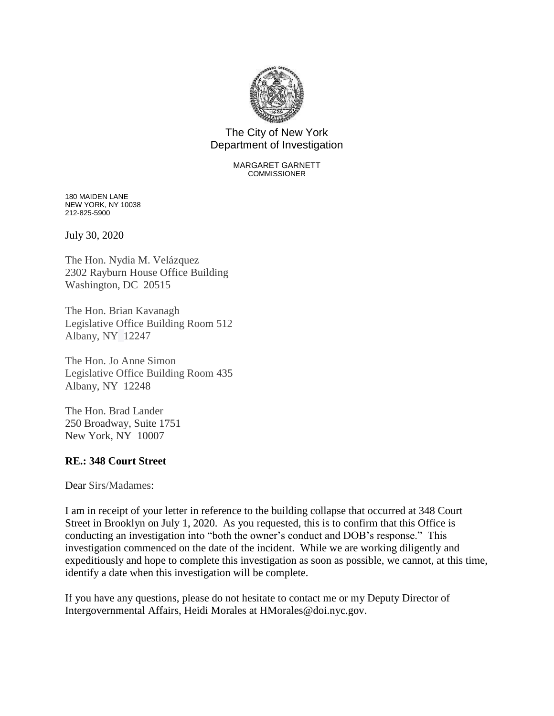

## The City of New York Department of Investigation

## MARGARET GARNETT COMMISSIONER

180 MAIDEN LANE NEW YORK, NY 10038 212-825-5900

July 30, 2020

The Hon. Nydia M. Velázquez 2302 Rayburn House Office Building Washington, DC 20515

The Hon. Brian Kavanagh Legislative Office Building Room 512 Albany, NY 12247

The Hon. Jo Anne Simon Legislative Office Building Room 435 Albany, NY 12248

The Hon. Brad Lander 250 Broadway, Suite 1751 New York, NY 10007

## **RE.: 348 Court Street**

Dear Sirs/Madames:

I am in receipt of your letter in reference to the building collapse that occurred at 348 Court Street in Brooklyn on July 1, 2020. As you requested, this is to confirm that this Office is conducting an investigation into "both the owner's conduct and DOB's response." This investigation commenced on the date of the incident. While we are working diligently and expeditiously and hope to complete this investigation as soon as possible, we cannot, at this time, identify a date when this investigation will be complete.

If you have any questions, please do not hesitate to contact me or my Deputy Director of Intergovernmental Affairs, Heidi Morales at HMorales@doi.nyc.gov.